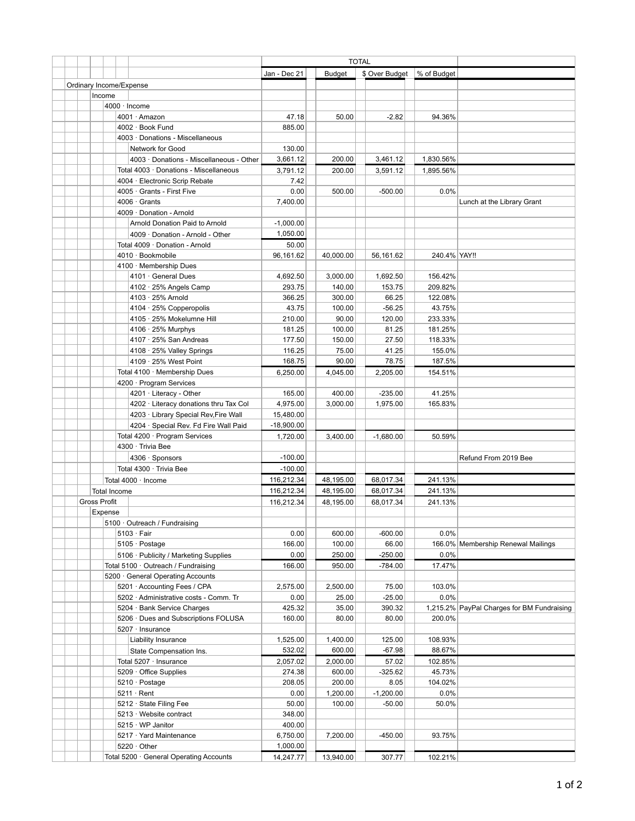|  |  |                                            |                                          | <b>TOTAL</b> |               |                |              |                                            |
|--|--|--------------------------------------------|------------------------------------------|--------------|---------------|----------------|--------------|--------------------------------------------|
|  |  |                                            |                                          | Jan - Dec 21 | <b>Budget</b> | \$ Over Budget | % of Budget  |                                            |
|  |  | Ordinary Income/Expense                    |                                          |              |               |                |              |                                            |
|  |  | Income                                     |                                          |              |               |                |              |                                            |
|  |  | 4000 · Income                              |                                          |              |               |                |              |                                            |
|  |  |                                            | 4001 · Amazon                            | 47.18        | 50.00         | $-2.82$        | 94.36%       |                                            |
|  |  |                                            | 4002 · Book Fund                         | 885.00       |               |                |              |                                            |
|  |  |                                            | 4003 · Donations - Miscellaneous         |              |               |                |              |                                            |
|  |  |                                            | Network for Good                         | 130.00       |               |                |              |                                            |
|  |  |                                            | 4003 · Donations - Miscellaneous - Other | 3,661.12     | 200.00        | 3,461.12       | 1,830.56%    |                                            |
|  |  |                                            | Total 4003 · Donations - Miscellaneous   | 3,791.12     | 200.00        | 3,591.12       | 1,895.56%    |                                            |
|  |  |                                            | 4004 · Electronic Scrip Rebate           | 7.42         |               |                |              |                                            |
|  |  |                                            | 4005 · Grants - First Five               | 0.00         | 500.00        | $-500.00$      | 0.0%         |                                            |
|  |  |                                            | $4006 \cdot$ Grants                      | 7,400.00     |               |                |              | Lunch at the Library Grant                 |
|  |  |                                            | 4009 · Donation - Arnold                 |              |               |                |              |                                            |
|  |  |                                            | Arnold Donation Paid to Arnold           | $-1,000.00$  |               |                |              |                                            |
|  |  |                                            | 4009 · Donation - Arnold - Other         | 1,050.00     |               |                |              |                                            |
|  |  |                                            | Total 4009 · Donation - Arnold           | 50.00        |               |                |              |                                            |
|  |  |                                            | 4010 · Bookmobile                        | 96,161.62    | 40,000.00     | 56,161.62      | 240.4% YAY!! |                                            |
|  |  |                                            | 4100 · Membership Dues                   |              |               |                |              |                                            |
|  |  |                                            | 4101 · General Dues                      | 4,692.50     | 3,000.00      | 1,692.50       | 156.42%      |                                            |
|  |  |                                            | 4102 · 25% Angels Camp                   | 293.75       | 140.00        | 153.75         | 209.82%      |                                            |
|  |  |                                            | 4103 · 25% Arnold                        | 366.25       | 300.00        | 66.25          | 122.08%      |                                            |
|  |  |                                            | 4104 · 25% Copperopolis                  | 43.75        | 100.00        | $-56.25$       | 43.75%       |                                            |
|  |  |                                            | 4105 · 25% Mokelumne Hill                | 210.00       | 90.00         | 120.00         | 233.33%      |                                            |
|  |  |                                            | 4106 · 25% Murphys                       | 181.25       | 100.00        | 81.25          | 181.25%      |                                            |
|  |  |                                            | 4107 · 25% San Andreas                   | 177.50       | 150.00        | 27.50          | 118.33%      |                                            |
|  |  |                                            |                                          | 116.25       | 75.00         | 41.25          | 155.0%       |                                            |
|  |  |                                            | 4108 · 25% Valley Springs                | 168.75       |               | 78.75          |              |                                            |
|  |  |                                            | 4109 · 25% West Point                    |              | 90.00         |                | 187.5%       |                                            |
|  |  |                                            | Total 4100 · Membership Dues             | 6,250.00     | 4,045.00      | 2,205.00       | 154.51%      |                                            |
|  |  |                                            | 4200 · Program Services                  |              |               |                |              |                                            |
|  |  |                                            | 4201 · Literacy - Other                  | 165.00       | 400.00        | $-235.00$      | 41.25%       |                                            |
|  |  |                                            | 4202 · Literacy donations thru Tax Col   | 4,975.00     | 3,000.00      | 1,975.00       | 165.83%      |                                            |
|  |  |                                            | 4203 · Library Special Rev, Fire Wall    | 15,480.00    |               |                |              |                                            |
|  |  |                                            | 4204 · Special Rev. Fd Fire Wall Paid    | $-18,900.00$ |               |                |              |                                            |
|  |  |                                            | Total 4200 · Program Services            | 1,720.00     | 3,400.00      | $-1,680.00$    | 50.59%       |                                            |
|  |  |                                            | 4300 · Trivia Bee                        |              |               |                |              |                                            |
|  |  |                                            | 4306 · Sponsors                          | $-100.00$    |               |                |              | Refund From 2019 Bee                       |
|  |  |                                            | Total 4300 · Trivia Bee                  | $-100.00$    |               |                |              |                                            |
|  |  | Total 4000 · Income<br><b>Total Income</b> |                                          | 116,212.34   | 48,195.00     | 68,017.34      | 241.13%      |                                            |
|  |  |                                            |                                          | 116,212.34   | 48,195.00     | 68,017.34      | 241.13%      |                                            |
|  |  | <b>Gross Profit</b>                        |                                          | 116,212.34   | 48,195.00     | 68,017.34      | 241.13%      |                                            |
|  |  | Expense                                    |                                          |              |               |                |              |                                            |
|  |  |                                            | 5100 · Outreach / Fundraising            |              |               |                |              |                                            |
|  |  |                                            | $5103 \cdot$ Fair                        | 0.00         | 600.00        | $-600.00$      | 0.0%         |                                            |
|  |  |                                            | 5105 · Postage                           | 166.00       | 100.00        | 66.00          |              | 166.0% Membership Renewal Mailings         |
|  |  |                                            | 5106 · Publicity / Marketing Supplies    | 0.00         | 250.00        | $-250.00$      | 0.0%         |                                            |
|  |  | Total 5100 · Outreach / Fundraising        |                                          | 166.00       | 950.00        | $-784.00$      | 17.47%       |                                            |
|  |  |                                            | 5200 General Operating Accounts          |              |               |                |              |                                            |
|  |  |                                            | 5201 · Accounting Fees / CPA             | 2,575.00     | 2,500.00      | 75.00          | 103.0%       |                                            |
|  |  |                                            | 5202 · Administrative costs - Comm. Tr   | 0.00         | 25.00         | $-25.00$       | 0.0%         |                                            |
|  |  |                                            | 5204 · Bank Service Charges              | 425.32       | 35.00         | 390.32         |              | 1,215.2% PayPal Charges for BM Fundraising |
|  |  |                                            | 5206 · Dues and Subscriptions FOLUSA     | 160.00       | 80.00         | 80.00          | 200.0%       |                                            |
|  |  |                                            | 5207 · Insurance                         |              |               |                |              |                                            |
|  |  |                                            | Liability Insurance                      | 1,525.00     | 1,400.00      | 125.00         | 108.93%      |                                            |
|  |  |                                            | State Compensation Ins.                  | 532.02       | 600.00        | $-67.98$       | 88.67%       |                                            |
|  |  |                                            | Total 5207 · Insurance                   | 2,057.02     | 2,000.00      | 57.02          | 102.85%      |                                            |
|  |  |                                            | 5209 Office Supplies                     | 274.38       | 600.00        | $-325.62$      | 45.73%       |                                            |
|  |  |                                            | 5210 · Postage                           | 208.05       | 200.00        | 8.05           | 104.02%      |                                            |
|  |  |                                            | $5211 \cdot$ Rent                        | 0.00         | 1,200.00      | $-1,200.00$    | 0.0%         |                                            |
|  |  |                                            | 5212 · State Filing Fee                  | 50.00        | 100.00        | $-50.00$       | 50.0%        |                                            |
|  |  |                                            | 5213 Website contract                    | 348.00       |               |                |              |                                            |
|  |  |                                            | 5215 WP Janitor                          | 400.00       |               |                |              |                                            |
|  |  |                                            | 5217 Yard Maintenance                    | 6,750.00     | 7,200.00      | $-450.00$      | 93.75%       |                                            |
|  |  |                                            | 5220 $\cdot$ Other                       | 1,000.00     |               |                |              |                                            |
|  |  |                                            | Total 5200 · General Operating Accounts  | 14,247.77    | 13,940.00     | 307.77         | 102.21%      |                                            |
|  |  |                                            |                                          |              |               |                |              |                                            |